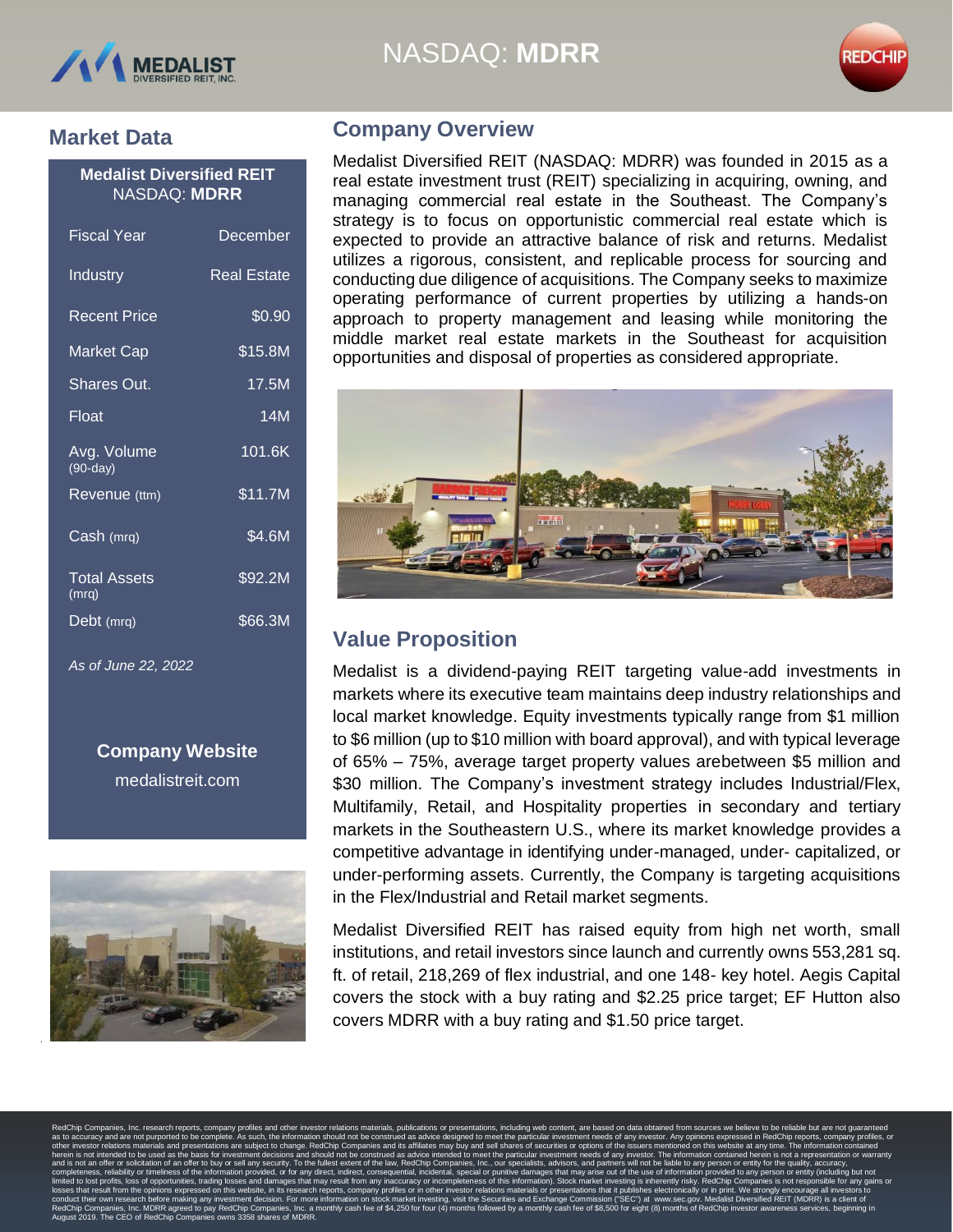





## **Market Data**

#### **Medalist Diversified REIT** NASDAQ: **MDRR**

| Fiscal Year                  | December            |
|------------------------------|---------------------|
| Industry                     | Real Estate         |
| <b>Recent Price</b>          | \$0.90              |
| <b>Market Cap</b>            | \$15.8M             |
| <b>Shares Out.</b>           | 17.5M               |
| Float                        | 14M                 |
| Avg. Volume<br>$(90-day)$    | $101.\overline{6K}$ |
| Revenue (ttm)                | \$11.7M             |
| Cash (mrq)                   | \$4.6M              |
| <b>Total Assets</b><br>(mrq) | \$92.2M             |
| Debt (mrq)                   | \$66.3M             |

*As of June 22, 2022*

**Company Website** medalistreit.com



## **Company Overview**

Medalist Diversified REIT (NASDAQ: MDRR) was founded in 2015 as a real estate investment trust (REIT) specializing in acquiring, owning, and managing commercial real estate in the Southeast. The Company's strategy is to focus on opportunistic commercial real estate which is expected to provide an attractive balance of risk and returns. Medalist utilizes a rigorous, consistent, and replicable process for sourcing and conducting due diligence of acquisitions. The Company seeks to maximize operating performance of current properties by utilizing a hands-on approach to property management and leasing while monitoring the middle market real estate markets in the Southeast for acquisition opportunities and disposal of properties as considered appropriate.



# **Value Proposition**

Medalist is a dividend-paying REIT targeting value-add investments in markets where its executive team maintains deep industry relationships and local market knowledge. Equity investments typically range from \$1 million to \$6 million (up to \$10 million with board approval), and with typical leverage of 65% – 75%, average target property values arebetween \$5 million and \$30 million. The Company's investment strategy includes Industrial/Flex, Multifamily, Retail, and Hospitality properties in secondary and tertiary markets in the Southeastern U.S., where its market knowledge provides a competitive advantage in identifying under-managed, under- capitalized, or under-performing assets. Currently, the Company is targeting acquisitions in the Flex/Industrial and Retail market segments.

Medalist Diversified REIT has raised equity from high net worth, small institutions, and retail investors since launch and currently owns 553,281 sq. ft. of retail, 218,269 of flex industrial, and one 148- key hotel. Aegis Capital covers the stock with a buy rating and \$2.25 price target; EF Hutton also covers MDRR with a buy rating and \$1.50 price target.

RedChip Companies, Inc. research reports, company profiles and other investor relations materials, publications or presentations, including web content, are based on data obtained from sources we believe to be reliable but as to accuracy and are not purported to be complete. As such, the information should not be construed as advice designed to meet the particular investment needs of any investor. Any opinions expressed in RedChip reports, c other investor relations materials and presentations are subject to change. RedChip Companies and its affiliates may buy and sell shares of securities or options of the issuers mentioned on this website at any time. The in herein is not intended to be used as the basis for investment decisions and should not be construed as advice intended to meet the particular investment needs of any investor. The information contained herein is not a repr and is not an offer or solicitation of an offer to buy or sell any security. To the fullest extent of the law, RedChip Companies, Inc., our specialists, advisors, and partners will not be liable to any person or entity for completeness, reliability or timeliness of the information provided, or for any direct, indirect, consequential, incidental, special or punitive damages that may arise out of the use of information provided to any person o limited to lost profits, loss of opportunities, trading losses and damages that may result from any inaccuracy or incompleteness of this information). Stock market investing is inherently risky. RedChip Companies is not re losses that result from the opinions expressed on this website, in its research reports, company profiles or in other investor relations materials or presentations that it publishes electronically or in print. We strongly conduct their own research before making any investment decision. For more information on stock market investing, visit the Securities and Exchange Commission ("SEC") at [www.sec.gov. M](http://www.sec.gov/)edalist Diversified REIT (MDRR) is a c RedChip Companies, Inc. MDRR agreed to pay RedChip Companies, Inc. a monthly cash fee of \$4,250 for four (4) months followed by a monthly cash fee of \$8,500 for eight (8) months of RedChip investor awareness services, begi August 2019. The CEO of RedChip Companies owns 3358 shares of MDRR.